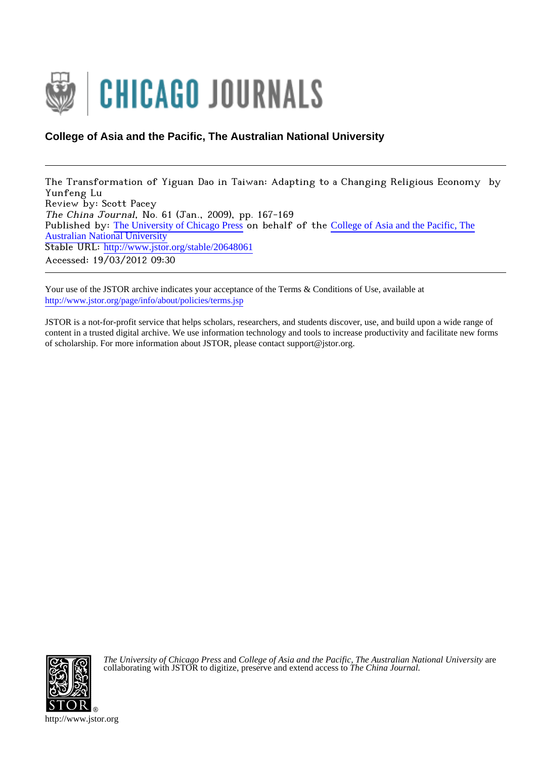

## **College of Asia and the Pacific, The Australian National University**

The Transformation of Yiguan Dao in Taiwan: Adapting to a Changing Religious Economy by Yunfeng Lu Review by: Scott Pacey The China Journal, No. 61 (Jan., 2009), pp. 167-169 Published by: [The University of Chicago Press](http://www.jstor.org/action/showPublisher?publisherCode=ucpress) on behalf of the [College of Asia and the Pacific, The](http://www.jstor.org/action/showPublisher?publisherCode=ccc) [Australian National University](http://www.jstor.org/action/showPublisher?publisherCode=ccc) Stable URL: http://www.jstor.org/stable/20648061 Accessed: 19/03/2012 09:30

Your use of the JSTOR archive indicates your acceptance of the Terms & Conditions of Use, available at <http://www.jstor.org/page/info/about/policies/terms.jsp>

JSTOR is a not-for-profit service that helps scholars, researchers, and students discover, use, and build upon a wide range of content in a trusted digital archive. We use information technology and tools to increase productivity and facilitate new forms of scholarship. For more information about JSTOR, please contact support@jstor.org.



*The University of Chicago Press* and *College of Asia and the Pacific, The Australian National University* are collaborating with JSTOR to digitize, preserve and extend access to *The China Journal.*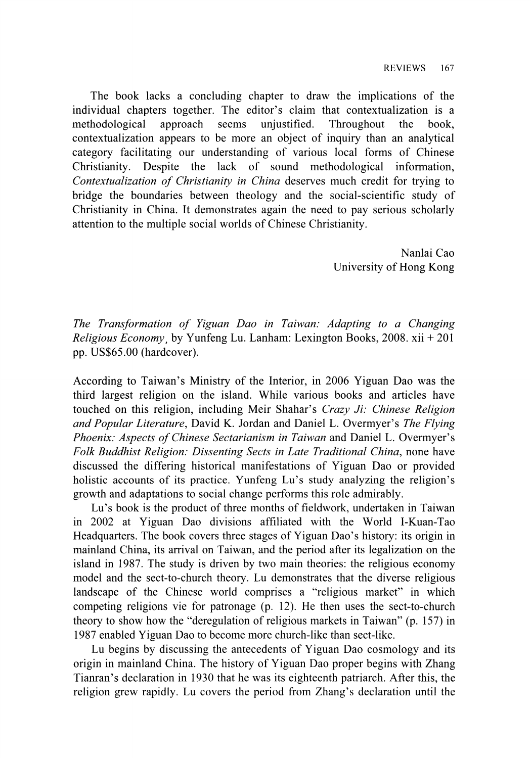The book lacks a concluding chapter to draw the implications of the individual chapters together. The editor's claim that contextualization is a methodological approach seems unjustified. Throughout the book, methodological approach seems unjustified. Throughout the book, contextualization appears to be more an object of inquiry than an analytical category facilitating our understanding of various local forms of Chinese<br>Christianity. Despite the lack of sound methodological information, the lack of sound methodological information, Contextualization of Christianity in China deserves much credit for trying to bridge the boundaries between theology and the social-scientific study of Christianity in China. It demonstrates again the need to pay serious scholarly attention to the multiple social worlds of Chinese Christianity.

> Nanlai Cao University of Hong Kong

The Transformation of Yiguan Dao in Taiwan: Adapting to a Changing Religious Economy, by Yunfeng Lu. Lanham: Lexington Books, 2008. xii + 201 pp. US\$65.00 (hardcover).

According to Taiwan's Ministry of the Interior, in 2006 Yiguan Dao was the third largest religion on the island. While various books and articles have touched on this religion, including Meir Shahar's Crazy Ji: Chinese Religion and Popular Literature, David K. Jordan and Daniel L. Overmyer's The Flying Phoenix: Aspects of Chinese Sectarianism in Taiwan and Daniel L. Overmyer's Folk Buddhist Religion: Dissenting Sects in Late Traditional China, none have discussed the differing historical manifestations of Yiguan Dao or provided holistic accounts of its practice. Yunfeng Lu's study analyzing the religion's growth and adaptations to social change performs this role admirably.

Lu's book is the product of three months of fieldwork, undertaken in Taiwan in 2002 at Yiguan Dao divisions affiliated with the World I-Kuan-Tao Headquarters. The book covers three stages of Yiguan Dao's history: its origin in mainland China, its arrival on Taiwan, and the period after its legalization on the island in 1987. The study is driven by two main theories: the religious economy model and the sect-to-church theory. Lu demonstrates that the diverse religious landscape of the Chinese world comprises a "religious market" in which competing religions vie for patronage (p. 12). He then uses the sect-to-church theory to show how the "deregulation of religious markets in Taiwan" (p. 157) in 1987 enabled Yiguan Dao to become more church-like than sect-like.

Lu begins by discussing the antecedents of Yiguan Dao cosmology and its origin in mainland China. The history of Yiguan Dao proper begins with Zhang Tianran's declaration in 1930 that he was its eighteenth patriarch. After this, the religion grew rapidly. Lu covers the period from Zhang's declaration until the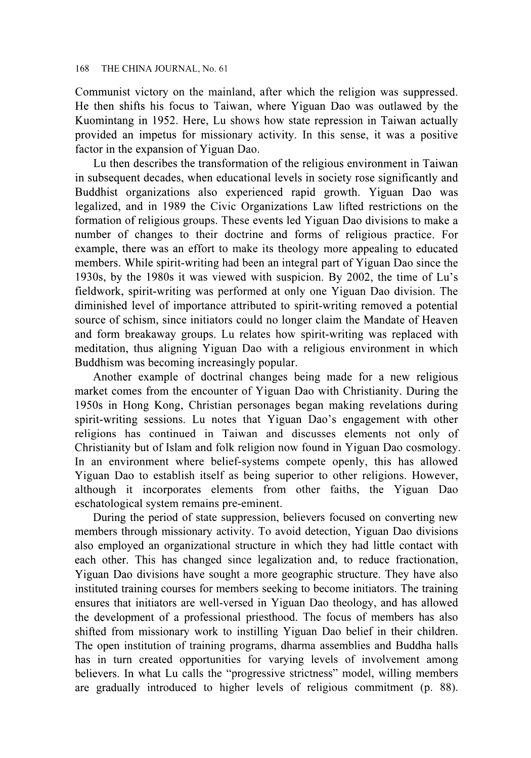Communist victory on the mainland, after which the religion was suppressed. He then shifts his focus to Taiwan, where Yiguan Dao was outlawed by the Kuomintang in 1952. Here, Lu shows how state repression in Taiwan actually provided an impetus for missionary activity. In this sense, it was a positive factor in the expansion of Yiguan Dao.

Lu then describes the transformation of the religious environment in Taiwan in subsequent decades, when educational levels in society rose significantly and Buddhist organizations also experienced rapid growth. Yiguan Dao was legalized, and in 1989 the Civic Organizations Law lifted restrictions on the formation of religious groups. These events led Yiguan Dao divisions to make a number of changes to their doctrine and forms of religious practice. For example, there was an effort to make its theology more appealing to educated members. While spirit-writing had been an integral part of Yiguan Dao since the 1930s, by the 1980s it was viewed with suspicion. By 2002, the time of Lu's fieldwork, spirit-writing was performed at only one Yiguan Dao division. The diminished level of importance attributed to spirit-writing removed a potential source of schism, since initiators could no longer claim the Mandate of Heaven and form breakaway groups. Lu relates how spirit-writing was replaced with meditation, thus aligning Yiguan Dao with a religious environment in which Buddhism was becoming increasingly popular.

Another example of doctrinal changes being made for a new religious market comes from the encounter of Yiguan Dao with Christianity. During the 1950s in Hong Kong, Christian personages began making revelations during spirit-writing sessions. Lu notes that Yiguan Dao's engagement with other religions has continued in Taiwan and discusses elements not only of Christianity but of Islam and folk religion now found in Yiguan Dao cosmology. In an environment where belief-systems compete openly, this has allowed Yiguan Dao to establish itself as being superior to other religions. However, although it incorporates elements from other faiths, the Yiguan Dao eschatological system remains pre-eminent.

During the period of state suppression, believers focused on converting new members through missionary activity. To avoid detection, Yiguan Dao divisions also employed an organizational structure in which they had little contact with each other. This has changed since legalization and, to reduce fractionation, Yiguan Dao divisions have sought a more geographic structure. They have also instituted training courses for members seeking to become initiators. The training ensures that initiators are well-versed in Yiguan Dao theology, and has allowed the development of a professional priesthood. The focus of members has also shifted from missionary work to instilling Yiguan Dao belief in their children. The open institution of training programs, dharma assemblies and Buddha halls has in turn created opportunities for varying levels of involvement among believers. In what Lu calls the "progressive strictness" model, willing members are gradually introduced to higher levels of religious commitment (p. 88).